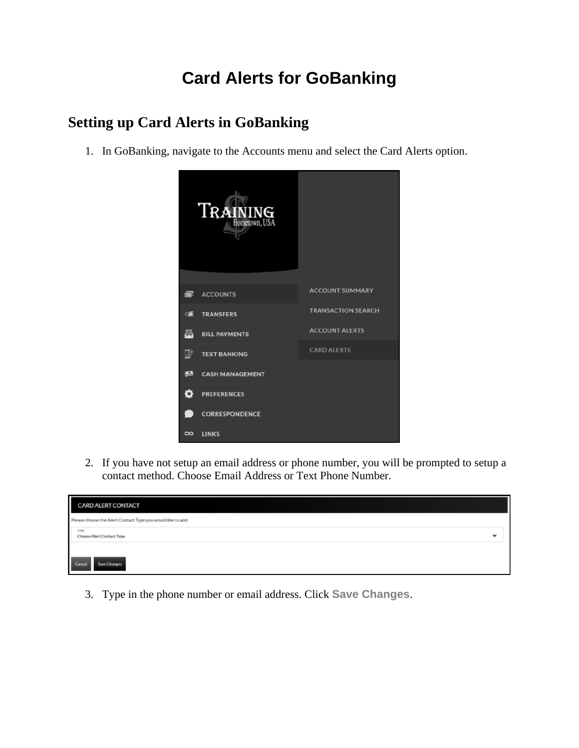## **Card Alerts for GoBanking**

## **Setting up Card Alerts in GoBanking**

1. In GoBanking, navigate to the Accounts menu and select the Card Alerts option.



2. If you have not setup an email address or phone number, you will be prompted to setup a contact method. Choose Email Address or Text Phone Number.



3. Type in the phone number or email address. Click **Save Changes**.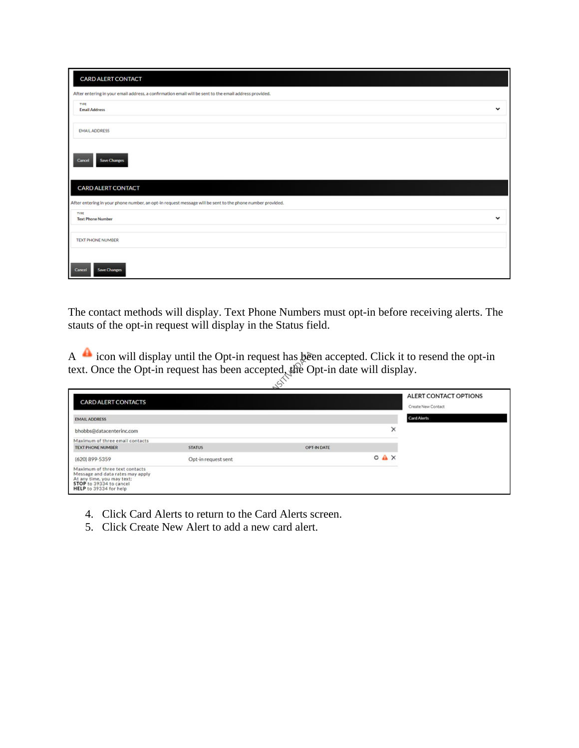| <b>CARD ALERT CONTACT</b>                                                                                 |  |  |  |  |  |
|-----------------------------------------------------------------------------------------------------------|--|--|--|--|--|
| After entering in your email address, a confirmation email will be sent to the email address provided.    |  |  |  |  |  |
| TYPE<br>$\check{ }$<br><b>Email Address</b>                                                               |  |  |  |  |  |
| <b>EMAIL ADDRESS</b>                                                                                      |  |  |  |  |  |
| <b>Save Changes</b><br>Cancel                                                                             |  |  |  |  |  |
| <b>CARD ALERT CONTACT</b>                                                                                 |  |  |  |  |  |
| After entering in your phone number, an opt-in request message will be sent to the phone number provided. |  |  |  |  |  |
| TYPE<br>$\check{ }$<br><b>Text Phone Number</b>                                                           |  |  |  |  |  |
| TEXT PHONE NUMBER                                                                                         |  |  |  |  |  |
| <b>Save Changes</b><br>Cancel                                                                             |  |  |  |  |  |

The contact methods will display. Text Phone Numbers must opt-in before receiving alerts. The stauts of the opt-in request will display in the Status field.

A icon will display until the Opt-in request has been accepted. Click it to resend the opt-in text. Once the Opt-in request has been accepted, the Opt-in date will display.

| <b>CARD ALERT CONTACTS</b>                                                                                                                            |                     |             |                  | ALERT CONTACT OPTIONS<br>Create New Contact |
|-------------------------------------------------------------------------------------------------------------------------------------------------------|---------------------|-------------|------------------|---------------------------------------------|
| <b>EMAIL ADDRESS</b>                                                                                                                                  |                     |             |                  | <b>Card Alerts</b>                          |
| bhobbs@datacenterinc.com                                                                                                                              |                     |             | ×                |                                             |
| Maximum of three email contacts                                                                                                                       |                     |             |                  |                                             |
| <b>TEXT PHONE NUMBER</b>                                                                                                                              | <b>STATUS</b>       | OPT-IN DATE |                  |                                             |
| (620) 899-5359                                                                                                                                        | Opt-in request sent |             | $O$ $A$ $\times$ |                                             |
| Maximum of three text contacts<br>Message and data rates may apply<br>At any time, you may text:<br>STOP to 39334 to cancel<br>HELP to 39334 for help |                     |             |                  |                                             |

- 4. Click Card Alerts to return to the Card Alerts screen.
- 5. Click Create New Alert to add a new card alert.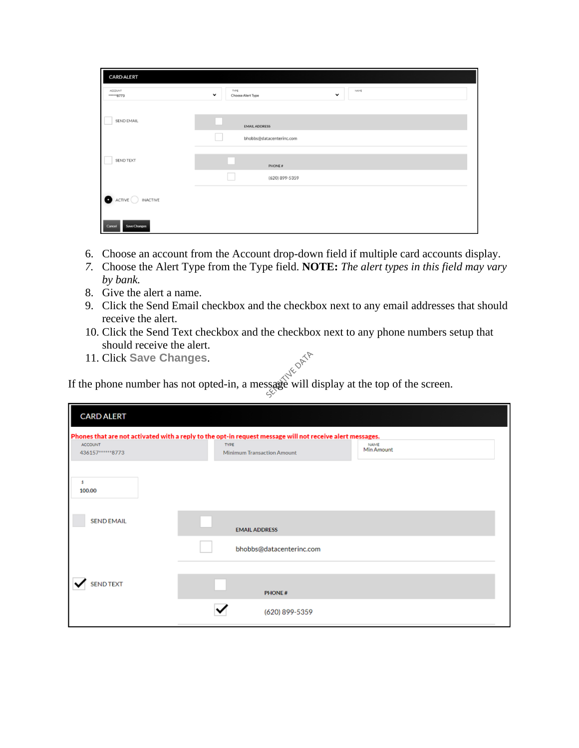| I<br><b>CARD ALERT</b>               |                                                                 |  |  |  |  |
|--------------------------------------|-----------------------------------------------------------------|--|--|--|--|
| ACCOUNT<br>*******8773               | TYPE<br>NAME<br>$\check{ }$<br>$\check{ }$<br>Choose Alert Type |  |  |  |  |
|                                      |                                                                 |  |  |  |  |
| SEND EMAIL                           | <b>EMAIL ADDRESS</b>                                            |  |  |  |  |
|                                      | bhobbs@datacenterinc.com                                        |  |  |  |  |
| SEND TEXT                            |                                                                 |  |  |  |  |
|                                      | PHONE#                                                          |  |  |  |  |
|                                      | (620) 899-5359                                                  |  |  |  |  |
| $\bullet$ ACTIVE $\bigcirc$ INACTIVE |                                                                 |  |  |  |  |
|                                      |                                                                 |  |  |  |  |
| Cancel<br>Save Changes               |                                                                 |  |  |  |  |

- 6. Choose an account from the Account drop-down field if multiple card accounts display.
- *7.* Choose the Alert Type from the Type field. **NOTE:** *The alert types in this field may vary by bank.*
- 8. Give the alert a name.
- 9. Click the Send Email checkbox and the checkbox next to any email addresses that should receive the alert.
- 10. Click the Send Text checkbox and the checkbox next to any phone numbers setup that should receive the alert.
- 11. Click **Save Changes**.

If the phone number has not opted-in, a message will display at the top of the screen.

| <b>CARD ALERT</b>                                                                                                                                                                                                          |                          |  |  |  |
|----------------------------------------------------------------------------------------------------------------------------------------------------------------------------------------------------------------------------|--------------------------|--|--|--|
| Phones that are not activated with a reply to the opt-in request message will not receive alert messages.<br><b>NAME</b><br>TYPE<br><b>ACCOUNT</b><br>Min Amount<br><b>Minimum Transaction Amount</b><br>436157*******8773 |                          |  |  |  |
| s<br>100.00                                                                                                                                                                                                                |                          |  |  |  |
| <b>SEND EMAIL</b>                                                                                                                                                                                                          | <b>EMAIL ADDRESS</b>     |  |  |  |
|                                                                                                                                                                                                                            | bhobbs@datacenterinc.com |  |  |  |
| <b>SEND TEXT</b>                                                                                                                                                                                                           | <b>PHONE#</b>            |  |  |  |
|                                                                                                                                                                                                                            | (620) 899-5359           |  |  |  |